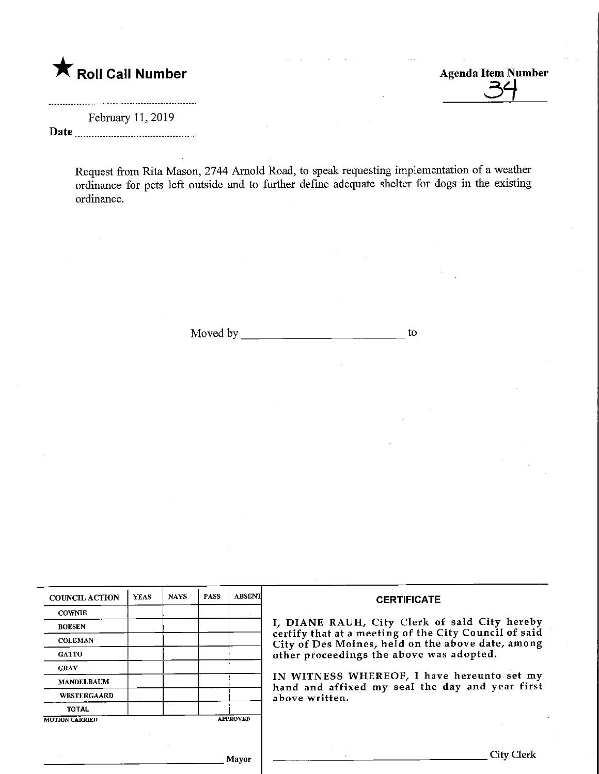## **K** Roll Call Number

Agenda Item Number

February 11, 2019 Date

> Request from Rita Mason, 2744 Arnold Road, to speak requesting implementation of a weather ordinance for pets left outside and to further define adequate shelter for dogs in the existing ordinance.

> > Moved by  $\qquad \qquad$  to to the set of the set of the set of the set of the set of the set of the set of the set of the set of the set of the set of the set of the set of the set of the set of the set of the set of the set of

| <b>COUNCIL ACTION</b> | <b>YLAS</b>     | <b>NAYS</b> | <b>PASS</b> | <b>ABSENT</b> | <b>CERTIFICATE</b>                                                                                                                                                                                      |
|-----------------------|-----------------|-------------|-------------|---------------|---------------------------------------------------------------------------------------------------------------------------------------------------------------------------------------------------------|
| <b>COWNIE</b>         |                 |             |             |               |                                                                                                                                                                                                         |
| <b>BOESEN</b>         |                 |             |             |               | I, DIANE RAUH, City Clerk of said City hereby<br>certify that at a meeting of the City Council of said<br>City of Des Moines, held on the above date, among<br>other proceedings the above was adopted. |
| <b>COLEMAN</b>        |                 |             |             |               |                                                                                                                                                                                                         |
| <b>GATTO</b>          |                 |             |             |               |                                                                                                                                                                                                         |
| <b>CRAY</b>           |                 |             |             |               |                                                                                                                                                                                                         |
| <b>MANDELBAUM</b>     |                 |             |             |               | IN WITNESS WHEREOF, I have hereunto set my<br>hand and affixed my seal the day and year first<br>above written.                                                                                         |
| <b>WESTERGAARD</b>    |                 |             |             |               |                                                                                                                                                                                                         |
| <b>TOTAL</b>          |                 |             |             |               |                                                                                                                                                                                                         |
| <b>MOTION CARRIED</b> | <b>APPROVED</b> |             |             |               |                                                                                                                                                                                                         |
|                       |                 |             |             |               |                                                                                                                                                                                                         |
| Morror                |                 |             |             |               | City Clerk                                                                                                                                                                                              |

<sub>.</sub> Mayor